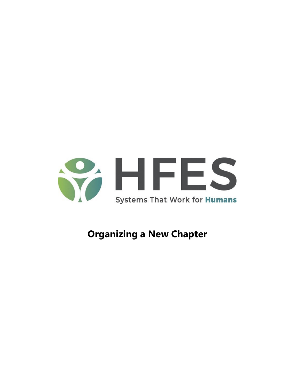

# **Organizing a New Chapter**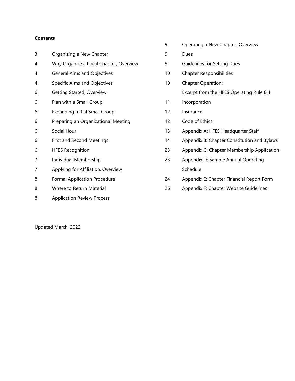# **Contents**

| 3 | Organizing a New Chapter               |   |
|---|----------------------------------------|---|
| 4 | Why Organize a Local Chapter, Overview |   |
| 4 | General Aims and Objectives            |   |
| 4 | Specific Aims and Objectives           |   |
| 6 | Getting Started, Overview              |   |
| 6 | Plan with a Small Group                |   |
| 6 | <b>Expanding Initial Small Group</b>   |   |
| 6 | Preparing an Organizational Meeting    |   |
| 6 | Social Hour                            |   |
| 6 | <b>First and Second Meetings</b>       |   |
| 6 | <b>HFES Recognition</b>                |   |
| 7 | Individual Membership                  |   |
| 7 | Applying for Affiliation, Overview     |   |
| 8 | <b>Formal Application Procedure</b>    |   |
| 8 | Where to Return Material               | í |
| 8 | <b>Application Review Process</b>      |   |

Updated March, 2022

Operating a New Chapter, Overview

Dues

- Guidelines for Setting Dues
- Chapter Responsibilities
- Chapter Operation:
	- Excerpt from the HFES Operating Rule 6.4
- Incorporation
- Insurance
- Code of Ethics
- Appendix A: HFES Headquarter Staff
- Appendix B: Chapter Constitution and Bylaws
- Appendix C: Chapter Membership Application
- Appendix D: Sample Annual Operating Schedule
- Appendix E: Chapter Financial Report Form
- Appendix F: Chapter Website Guidelines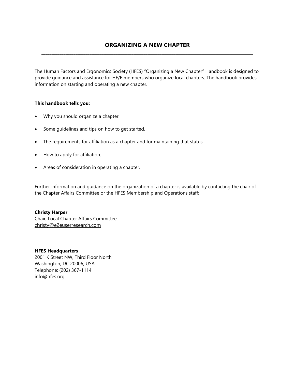The Human Factors and Ergonomics Society (HFES) "Organizing a New Chapter" Handbook is designed to provide guidance and assistance for HF/E members who organize local chapters. The handbook provides information on starting and operating a new chapter.

# **This handbook tells you:**

- Why you should organize a chapter.
- Some guidelines and tips on how to get started.
- The requirements for affiliation as a chapter and for maintaining that status.
- How to apply for affiliation.
- Areas of consideration in operating a chapter.

Further information and guidance on the organization of a chapter is available by contacting the chair of the Chapter Affairs Committee or the HFES Membership and Operations staff:

# **Christy Harper**

Chair, Local Chapter Affairs Committe[e](mailto:christy@e2euserresearch.com) [christy@e2euserresearch.com](mailto:christy@e2euserresearch.com)

# **HFES Headquarters**

2001 K Street NW, Third Floor North Washington, DC 20006, USA Telephone: (202) 367-1114 info@hfes.org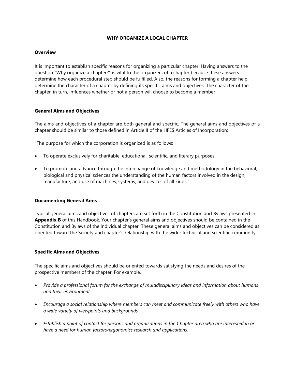# **WHY ORGANIZE A LOCAL CHAPTER**

#### **Overview**

It is important to establish specific reasons for organizing a particular chapter. Having answers to the question "Why organize a chapter?" is vital to the organizers of a chapter because these answers determine how each procedural step should be fulfilled. Also, the reasons for forming a chapter help determine the character of a chapter by defining its specific aims and objectives. The character of the chapter, in turn, influences whether or not a person will choose to become a member

#### **General Aims and Objectives**

The aims and objectives of a chapter are both general and specific. The general aims and objectives of a chapter should be similar to those defined in Article II of the HFES Articles of Incorporation:

"The purpose for which the corporation is organized is as follows:

- To operate exclusively for charitable, educational, scientific, and literary purposes.
- To promote and advance through the interchange of knowledge and methodology in the behavioral, biological and physical sciences the understanding of the human factors involved in the design, manufacture, and use of machines, systems, and devices of all kinds."

#### **Documenting General Aims**

Typical general aims and objectives of chapters are set forth in the Constitution and Bylaws presented in **Appendix B** of this Handbook. Your chapter's general aims and objectives should be contained in the Constitution and Bylaws of the individual chapter. These general aims and objectives can be considered as oriented toward the Society and chapter's relationship with the wider technical and scientific community.

#### **Specific Aims and Objectives**

The specific aims and objectives should be oriented towards satisfying the needs and desires of the prospective members of the chapter. For example,

- *Provide a professional forum for the exchange of multidisciplinary ideas and information about humans and their environment.*
- *Encourage a social relationship where members can meet and communicate freely with others who have a wide variety of viewpoints and backgrounds.*
- *Establish a point of contact for persons and organizations in the Chapter area who are interested in or have a need for human factors/ergonomics research and applications.*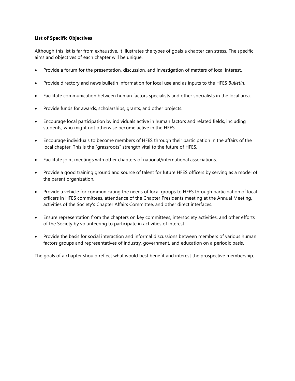# **List of Specific Objectives**

Although this list is far from exhaustive, it illustrates the types of goals a chapter can stress. The specific aims and objectives of each chapter will be unique.

- Provide a forum for the presentation, discussion, and investigation of matters of local interest.
- Provide directory and news bulletin information for local use and as inputs to the HFES *Bulletin*.
- Facilitate communication between human factors specialists and other specialists in the local area.
- Provide funds for awards, scholarships, grants, and other projects.
- Encourage local participation by individuals active in human factors and related fields, including students, who might not otherwise become active in the HFES.
- Encourage individuals to become members of HFES through their participation in the affairs of the local chapter. This is the "grassroots" strength vital to the future of HFES.
- Facilitate joint meetings with other chapters of national/international associations.
- Provide a good training ground and source of talent for future HFES officers by serving as a model of the parent organization.
- Provide a vehicle for communicating the needs of local groups to HFES through participation of local officers in HFES committees, attendance of the Chapter Presidents meeting at the Annual Meeting, activities of the Society's Chapter Affairs Committee, and other direct interfaces.
- Ensure representation from the chapters on key committees, intersociety activities, and other efforts of the Society by volunteering to participate in activities of interest.
- Provide the basis for social interaction and informal discussions between members of various human factors groups and representatives of industry, government, and education on a periodic basis.

The goals of a chapter should reflect what would best benefit and interest the prospective membership.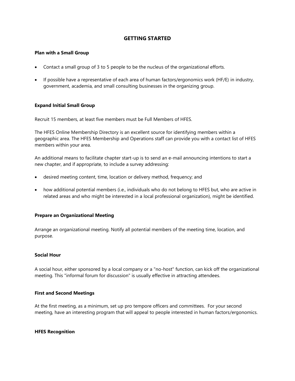# **GETTING STARTED**

#### **Plan with a Small Group**

- Contact a small group of 3 to 5 people to be the nucleus of the organizational efforts.
- If possible have a representative of each area of human factors/ergonomics work (HF/E) in industry, government, academia, and small consulting businesses in the organizing group.

#### **Expand Initial Small Group**

Recruit 15 members, at least five members must be Full Members of HFES.

The HFES Online Membership Directory is an excellent source for identifying members within a geographic area. The HFES Membership and Operations staff can provide you with a contact list of HFES members within your area.

An additional means to facilitate chapter start-up is to send an e-mail announcing intentions to start a new chapter, and if appropriate, to include a survey addressing:

- desired meeting content, time, location or delivery method, frequency; and
- how additional potential members (i.e., individuals who do not belong to HFES but, who are active in related areas and who might be interested in a local professional organization), might be identified.

#### **Prepare an Organizational Meeting**

Arrange an organizational meeting. Notify all potential members of the meeting time, location, and purpose.

# **Social Hour**

A social hour, either sponsored by a local company or a "no-host" function, can kick off the organizational meeting. This "informal forum for discussion" is usually effective in attracting attendees.

#### **First and Second Meetings**

At the first meeting, as a minimum, set up pro tempore officers and committees. For your second meeting, have an interesting program that will appeal to people interested in human factors/ergonomics.

#### **HFES Recognition**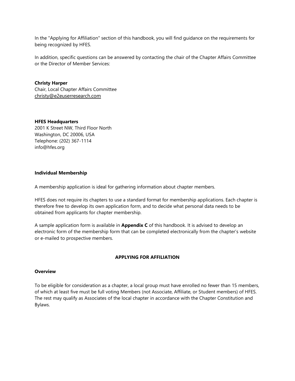In the "Applying for Affiliation" section of this handbook, you will find guidance on the requirements for being recognized by HFES.

In addition, specific questions can be answered by contacting the chair of the Chapter Affairs Committee or the Director of Member Services:

**Christy Harper** Chair, Local Chapter Affairs Committe[e](mailto:christy@e2euserresearch.com) [christy@e2euserresearch.com](mailto:christy@e2euserresearch.com)

#### **HFES Headquarters**

2001 K Street NW, Third Floor North Washington, DC 20006, USA Telephone: (202) 367-1114 info@hfes.org

#### **Individual Membership**

A membership application is ideal for gathering information about chapter members.

HFES does not require its chapters to use a standard format for membership applications. Each chapter is therefore free to develop its own application form, and to decide what personal data needs to be obtained from applicants for chapter membership.

A sample application form is available in **Appendix C** of this handbook. It is advised to develop an electronic form of the membership form that can be completed electronically from the chapter's website or e-mailed to prospective members.

# **APPLYING FOR AFFILIATION**

#### **Overview**

To be eligible for consideration as a chapter, a local group must have enrolled no fewer than 15 members, of which at least five must be full voting Members (not Associate, Affiliate, or Student members) of HFES. The rest may qualify as Associates of the local chapter in accordance with the Chapter Constitution and Bylaws.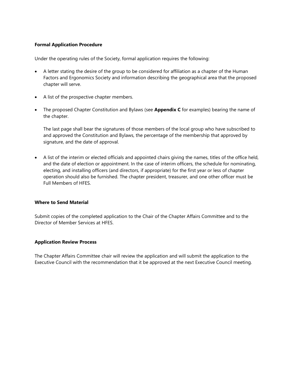# **Formal Application Procedure**

Under the operating rules of the Society, formal application requires the following:

- A letter stating the desire of the group to be considered for affiliation as a chapter of the Human Factors and Ergonomics Society and information describing the geographical area that the proposed chapter will serve.
- A list of the prospective chapter members.
- The proposed Chapter Constitution and Bylaws (see **Appendix C** for examples) bearing the name of the chapter.

The last page shall bear the signatures of those members of the local group who have subscribed to and approved the Constitution and Bylaws, the percentage of the membership that approved by signature, and the date of approval.

 A list of the interim or elected officials and appointed chairs giving the names, titles of the office held, and the date of election or appointment. In the case of interim officers, the schedule for nominating, electing, and installing officers (and directors, if appropriate) for the first year or less of chapter operation should also be furnished. The chapter president, treasurer, and one other officer must be Full Members of HFES.

#### **Where to Send Material**

Submit copies of the completed application to the Chair of the Chapter Affairs Committee and to the Director of Member Services at HFES.

#### **Application Review Process**

The Chapter Affairs Committee chair will review the application and will submit the application to the Executive Council with the recommendation that it be approved at the next Executive Council meeting.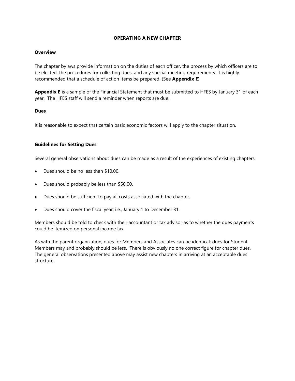# **OPERATING A NEW CHAPTER**

#### **Overview**

The chapter bylaws provide information on the duties of each officer, the process by which officers are to be elected, the procedures for collecting dues, and any special meeting requirements. It is highly recommended that a schedule of action items be prepared. (See **Appendix E)**

**Appendix E** is a sample of the Financial Statement that must be submitted to HFES by January 31 of each year. The HFES staff will send a reminder when reports are due.

#### **Dues**

It is reasonable to expect that certain basic economic factors will apply to the chapter situation.

#### **Guidelines for Setting Dues**

Several general observations about dues can be made as a result of the experiences of existing chapters:

- Dues should be no less than \$10.00.
- Dues should probably be less than \$50.00.
- Dues should be sufficient to pay all costs associated with the chapter.
- Dues should cover the fiscal year; i.e., January 1 to December 31.

Members should be told to check with their accountant or tax advisor as to whether the dues payments could be itemized on personal income tax.

As with the parent organization, dues for Members and Associates can be identical; dues for Student Members may and probably should be less. There is obviously no one correct figure for chapter dues. The general observations presented above may assist new chapters in arriving at an acceptable dues structure.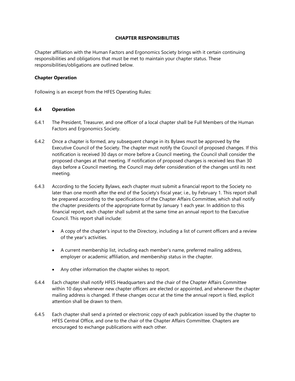# **CHAPTER RESPONSIBILITIES**

Chapter affiliation with the Human Factors and Ergonomics Society brings with it certain continuing responsibilities and obligations that must be met to maintain your chapter status. These responsibilities/obligations are outlined below.

#### **Chapter Operation**

Following is an excerpt from the HFES Operating Rules:

#### **6.4 Operation**

- 6.4.1 The President, Treasurer, and one officer of a local chapter shall be Full Members of the Human Factors and Ergonomics Society.
- 6.4.2 Once a chapter is formed, any subsequent change in its Bylaws must be approved by the Executive Council of the Society. The chapter must notify the Council of proposed changes. If this notification is received 30 days or more before a Council meeting, the Council shall consider the proposed changes at that meeting. If notification of proposed changes is received less than 30 days before a Council meeting, the Council may defer consideration of the changes until its next meeting.
- 6.4.3 According to the Society Bylaws, each chapter must submit a financial report to the Society no later than one month after the end of the Society's fiscal year; i.e., by February 1. This report shall be prepared according to the specifications of the Chapter Affairs Committee, which shall notify the chapter presidents of the appropriate format by January 1 each year. In addition to this financial report, each chapter shall submit at the same time an annual report to the Executive Council. This report shall include:
	- A copy of the chapter's input to the Directory, including a list of current officers and a review of the year's activities.
	- A current membership list, including each member's name, preferred mailing address, employer or academic affiliation, and membership status in the chapter.
	- Any other information the chapter wishes to report.
- 6.4.4 Each chapter shall notify HFES Headquarters and the chair of the Chapter Affairs Committee within 10 days whenever new chapter officers are elected or appointed, and whenever the chapter mailing address is changed. If these changes occur at the time the annual report is filed, explicit attention shall be drawn to them.
- 6.4.5 Each chapter shall send a printed or electronic copy of each publication issued by the chapter to HFES Central Office, and one to the chair of the Chapter Affairs Committee. Chapters are encouraged to exchange publications with each other.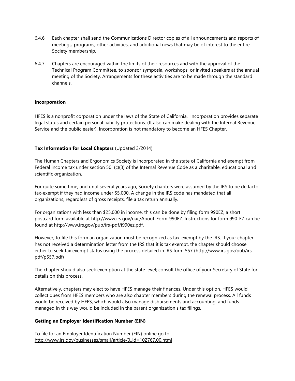- 6.4.6 Each chapter shall send the Communications Director copies of all announcements and reports of meetings, programs, other activities, and additional news that may be of interest to the entire Society membership.
- 6.4.7 Chapters are encouraged within the limits of their resources and with the approval of the Technical Program Committee, to sponsor symposia, workshops, or invited speakers at the annual meeting of the Society. Arrangements for these activities are to be made through the standard channels.

# **Incorporation**

HFES is a nonprofit corporation under the laws of the State of California. Incorporation provides separate legal status and certain personal liability protections. (It also can make dealing with the Internal Revenue Service and the public easier). Incorporation is not mandatory to become an HFES Chapter.

# **Tax Information for Local Chapters** (Updated 3/2014)

The Human Chapters and Ergonomics Society is incorporated in the state of California and exempt from Federal income tax under section  $501(c)(3)$  of the Internal Revenue Code as a charitable, educational and scientific organization.

For quite some time, and until several years ago, Society chapters were assumed by the IRS to be de facto tax-exempt if they had income under \$5,000. A change in the IRS code has mandated that all organizations, regardless of gross receipts, file a tax return annually.

For organizations with less than \$25,000 in income, this can be done by filing form 990EZ, a short postcard form available at [http://www.irs.gov/uac/About-Form-990EZ.](http://www.irs.gov/uac/About-Form-990EZ) Instructions for form 990-EZ can be found at [http://www.irs.gov/pub/irs-pdf/i990ez.pdf.](http://www.irs.gov/pub/irs-pdf/i990ez.pdf)

However, to file this form an organization must be recognized as tax-exempt by the IRS. If your chapter has not received a determination letter from the IRS that it is tax exempt, the chapter should choose either to seek tax exempt status using the process detailed in IRS form 557 [\(http://www.irs.gov/pub/irs](http://www.irs.gov/pub/irs-pdf/p557.pdf)[pdf/p557.pdf\)](http://www.irs.gov/pub/irs-pdf/p557.pdf)

The chapter should also seek exemption at the state level; consult the office of your Secretary of State for details on this process.

Alternatively, chapters may elect to have HFES manage their finances. Under this option, HFES would collect dues from HFES members who are also chapter members during the renewal process. All funds would be received by HFES, which would also manage disbursements and accounting, and funds managed in this way would be included in the parent organization's tax filings.

# **Getting an Employer Identification Number (EIN)**

To file for an Employer Identification Number (EIN) online go to: <http://www.irs.gov/businesses/small/article/0,,id=102767,00.html>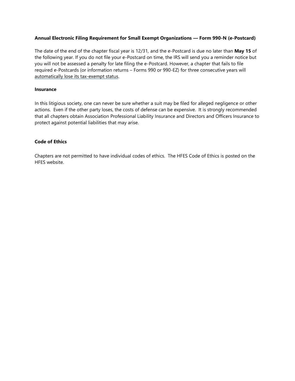# **Annual Electronic Filing Requirement for Small Exempt Organizations — Form 990-N (e-Postcard)**

The date of the end of the chapter fiscal year is 12/31, and the e-Postcard is due no later than **May 15** of the following year. If you do not file your e-Postcard on time, the IRS will send you a reminder notice but you will not be assessed a penalty for late filing the e-Postcard. However, a chapter that fails to file required e-Postcards (or information returns – Forms 990 or 990-EZ) for three consecutive years will [automatically lose its tax-exempt status.](http://www.irs.gov/charities/article/0,,id=217087,00.html)

#### **Insurance**

In this litigious society, one can never be sure whether a suit may be filed for alleged negligence or other actions. Even if the other party loses, the costs of defense can be expensive. It is strongly recommended that all chapters obtain Association Professional Liability Insurance and Directors and Officers Insurance to protect against potential liabilities that may arise.

# **Code of Ethics**

Chapters are not permitted to have individual codes of ethics. The HFES Code of Ethics is posted on the HFES website.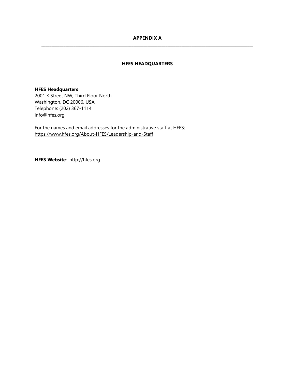# **APPENDIX A \_\_\_\_\_\_\_\_\_\_\_\_\_\_\_\_\_\_\_\_\_\_\_\_\_\_\_\_\_\_\_\_\_\_\_\_\_\_\_\_\_\_\_\_\_\_\_\_\_\_\_\_\_\_\_\_\_\_\_\_\_\_\_\_\_\_\_\_\_\_\_\_\_\_\_\_\_\_\_\_\_\_\_\_\_\_\_\_\_\_\_\_\_\_\_\_\_\_\_\_\_\_\_\_\_\_**

# **HFES HEADQUARTERS**

#### **HFES Headquarters**

2001 K Street NW, Third Floor North Washington, DC 20006, USA Telephone: (202) 367-1114 info@hfes.org

For the names and email addresses for the administrative staff at HFES: <https://www.hfes.org/About-HFES/Leadership-and-Staff>

**HFES Website***:* [http://hfes.org](http://hfes.org/)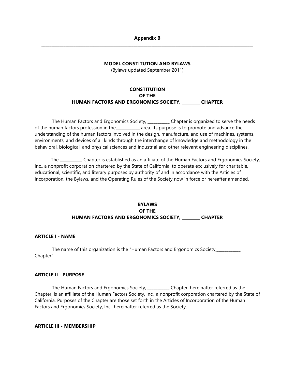# **Appendix B \_\_\_\_\_\_\_\_\_\_\_\_\_\_\_\_\_\_\_\_\_\_\_\_\_\_\_\_\_\_\_\_\_\_\_\_\_\_\_\_\_\_\_\_\_\_\_\_\_\_\_\_\_\_\_\_\_\_\_\_\_\_\_\_\_\_\_\_\_\_\_\_\_\_\_\_\_\_\_\_\_\_\_\_\_\_\_\_\_\_\_\_\_\_\_\_\_\_\_\_\_\_\_\_\_\_**

#### **MODEL CONSTITUTION AND BYLAWS**

(Bylaws updated September 2011)

# **CONSTITUTION OF THE HUMAN FACTORS AND ERGONOMICS SOCIETY, \_\_\_\_\_\_\_\_\_ CHAPTER**

The Human Factors and Ergonomics Society, \_\_\_\_\_\_\_\_\_\_ Chapter is organized to serve the needs of the human factors profession in the\_\_\_\_\_\_\_\_\_\_\_\_ area. Its purpose is to promote and advance the understanding of the human factors involved in the design, manufacture, and use of machines, systems, environments, and devices of all kinds through the interchange of knowledge and methodology in the behavioral, biological, and physical sciences and industrial and other relevant engineering disciplines.

The \_\_\_\_\_\_\_\_\_\_\_ Chapter is established as an affiliate of the Human Factors and Ergonomics Society, Inc., a nonprofit corporation chartered by the State of California, to operate exclusively for charitable, educational, scientific, and literary purposes by authority of and in accordance with the Articles of Incorporation, the Bylaws, and the Operating Rules of the Society now in force or hereafter amended.

# **BYLAWS OF THE HUMAN FACTORS AND ERGONOMICS SOCIETY, \_\_\_\_\_\_\_\_\_ CHAPTER**

# **ARTICLE I - NAME**

The name of this organization is the "Human Factors and Ergonomics Society, Chapter".

# **ARTICLE II - PURPOSE**

The Human Factors and Ergonomics Society, \_\_\_\_\_\_\_\_\_\_\_ Chapter, hereinafter referred as the Chapter, is an affiliate of the Human Factors Society, Inc., a nonprofit corporation chartered by the State of California. Purposes of the Chapter are those set forth in the Articles of Incorporation of the Human Factors and Ergonomics Society, Inc., hereinafter referred as the Society.

#### **ARTICLE III - MEMBERSHIP**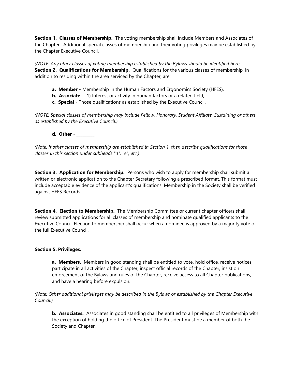**Section 1. Classes of Membership.** The voting membership shall include Members and Associates of the Chapter. Additional special classes of membership and their voting privileges may be established by the Chapter Executive Council.

*(NOTE: Any other classes of voting membership established by the Bylaws should be identified here.* **Section 2. Qualifications for Membership.** Qualifications for the various classes of membership, in addition to residing within the area serviced by the Chapter, are:

- **a. Member** Membership in the Human Factors and Ergonomics Society (HFES).
- **b.** Associate 1) Interest or activity in human factors or a related field,
- **c. Special** Those qualifications as established by the Executive Council.

*(NOTE: Special classes of membership may include Fellow, Honorary, Student Affiliate, Sustaining or others as established by the Executive Council.)*

# **d. Other** - \_\_\_\_\_\_\_\_\_

*(Note. If other classes of membership are established in Section 1, then describe qualifications for those classes in this section under subheads "d", "e", etc.)*

**Section 3. Application for Membership.** Persons who wish to apply for membership shall submit a written or electronic application to the Chapter Secretary following a prescribed format. This format must include acceptable evidence of the applicant's qualifications. Membership in the Society shall be verified against HFES Records.

**Section 4. Election to Membership.** The Membership Committee or current chapter officers shall review submitted applications for all classes of membership and nominate qualified applicants to the Executive Council. Election to membership shall occur when a nominee is approved by a majority vote of the full Executive Council.

# **Section 5. Privileges.**

**a. Members.** Members in good standing shall be entitled to vote, hold office, receive notices, participate in all activities of the Chapter, inspect official records of the Chapter, insist on enforcement of the Bylaws and rules of the Chapter, receive access to all Chapter publications, and have a hearing before expulsion.

# *(Note: Other additional privileges may be described in the Bylaws or established by the Chapter Executive Council.)*

**b. Associates.** Associates in good standing shall be entitled to all privileges of Membership with the exception of holding the office of President. The President must be a member of both the Society and Chapter.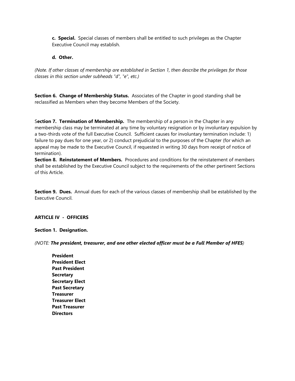**c. Special.** Special classes of members shall be entitled to such privileges as the Chapter Executive Council may establish.

# **d. Other.**

*(Note. If other classes of membership are established in Section 1, then describe the privileges for those classes in this section under subheads "d", "e", etc.)*

**Section 6. Change of Membership Status.** Associates of the Chapter in good standing shall be reclassified as Members when they become Members of the Society.

S**ection 7. Termination of Membership.** The membership of a person in the Chapter in any membership class may be terminated at any time by voluntary resignation or by involuntary expulsion by a two-thirds vote of the full Executive Council. Sufficient causes for involuntary termination include: 1) failure to pay dues for one year, or 2) conduct prejudicial to the purposes of the Chapter (for which an appeal may be made to the Executive Council, if requested in writing 30 days from receipt of notice of termination).

**Section 8. Reinstatement of Members.** Procedures and conditions for the reinstatement of members shall be established by the Executive Council subject to the requirements of the other pertinent Sections of this Article.

**Section 9. Dues.** Annual dues for each of the various classes of membership shall be established by the Executive Council.

# **ARTICLE IV - OFFICERS**

**Section 1. Designation.**

*(NOTE: The president, treasurer, and one other elected officer must be a Full Member of HFES)*

**President President Elect Past President Secretary Secretary Elect Past Secretary Treasurer Treasurer Elect Past Treasurer Directors**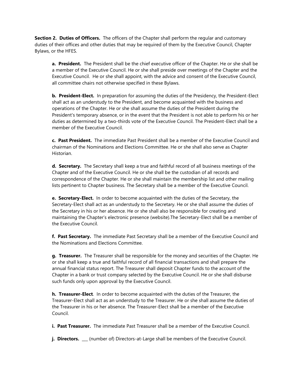**Section 2. Duties of Officers.** The officers of the Chapter shall perform the regular and customary duties of their offices and other duties that may be required of them by the Executive Council, Chapter Bylaws, or the HFES.

**a. President.** The President shall be the chief executive officer of the Chapter. He or she shall be a member of the Executive Council. He or she shall preside over meetings of the Chapter and the Executive Council. He or she shall appoint, with the advice and consent of the Executive Council, all committee chairs not otherwise specified in these Bylaws.

**b. President-Elect.** In preparation for assuming the duties of the Presidency, the President-Elect shall act as an understudy to the President, and become acquainted with the business and operations of the Chapter. He or she shall assume the duties of the President during the President's temporary absence, or in the event that the President is not able to perform his or her duties as determined by a two-thirds vote of the Executive Council. The President-Elect shall be a member of the Executive Council.

**c. Past President.** The immediate Past President shall be a member of the Executive Council and chairman of the Nominations and Elections Committee. He or she shall also serve as Chapter Historian.

**d. Secretary.** The Secretary shall keep a true and faithful record of all business meetings of the Chapter and of the Executive Council. He or she shall be the custodian of all records and correspondence of the Chapter. He or she shall maintain the membership list and other mailing lists pertinent to Chapter business. The Secretary shall be a member of the Executive Council.

**e. Secretary-Elect.** In order to become acquainted with the duties of the Secretary, the Secretary-Elect shall act as an understudy to the Secretary. He or she shall assume the duties of the Secretary in his or her absence. He or she shall also be responsible for creating and maintaining the Chapter's electronic presence (website).The Secretary-Elect shall be a member of the Executive Council.

**f. Past Secretary.** The immediate Past Secretary shall be a member of the Executive Council and the Nominations and Elections Committee.

**g. Treasurer.** The Treasurer shall be responsible for the money and securities of the Chapter. He or she shall keep a true and faithful record of all financial transactions and shall prepare the annual financial status report. The Treasurer shall deposit Chapter funds to the account of the Chapter in a bank or trust company selected by the Executive Council. He or she shall disburse such funds only upon approval by the Executive Council.

**h. Treasurer-Elect**. In order to become acquainted with the duties of the Treasurer, the Treasurer-Elect shall act as an understudy to the Treasurer. He or she shall assume the duties of the Treasurer in his or her absence. The Treasurer-Elect shall be a member of the Executive Council.

**i. Past Treasurer.** The immediate Past Treasurer shall be a member of the Executive Council.

**j. Directors.** \_\_\_ (number of) Directors-at-Large shall be members of the Executive Council.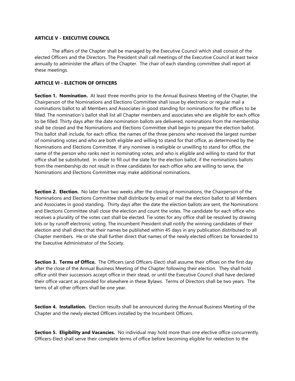# **ARTICLE V - EXECUTIVE COUNCIL**

The affairs of the Chapter shall be managed by the Executive Council which shall consist of the elected Officers and the Directors. The President shall call meetings of the Executive Council at least twice annually to administer the affairs of the Chapter. The chair of each standing committee shall report at these meetings.

# **ARTICLE VI - ELECTION OF OFFICERS**

**Section 1. Nomination.** At least three months prior to the Annual Business Meeting of the Chapter, the Chairperson of the Nominations and Elections Committee shall issue by electronic or regular mail a nominations ballot to all Members and Associates in good standing for nominations for the offices to be filled. The nomination's ballot shall list all Chapter members and associates who are eligible for each office to be filled. Thirty days after the date nomination ballots are delivered, nominations from the membership shall be closed and the Nominations and Elections Committee shall begin to prepare the election ballot. This ballot shall include, for each office, the names of the three persons who received the largest number of nominating votes and who are both eligible and willing to stand for that office, as determined by the Nominations and Elections Committee. If any nominee is ineligible or unwilling to stand for office, the name of the person who ranks next in nominating votes, and who is eligible and willing to stand for that office shall be substituted. In order to fill out the slate for the election ballot, if the nominations ballots from the membership do not result in three candidates for each office who are willing to serve, the Nominations and Elections Committee may make additional nominations.

**Section 2. Election.** No later than two weeks after the closing of nominations, the Chairperson of the Nominations and Elections Committee shall distribute by email or mail the election ballot to all Members and Associates in good standing. Thirty days after the date the election ballots are sent, the Nominations and Elections Committee shall close the election and count the votes. The candidate for each office who receives a plurality of the votes cast shall be elected. Tie votes for any office shall be resolved by drawing lots or by runoff electronic voting. The incumbent President shall notify the winning candidates of their election and shall direct that their names be published within 45 days in any publication distributed to all Chapter members. He or she shall further direct that names of the newly elected officers be forwarded to the Executive Administrator of the Society.

**Section 3. Terms of Office.** The Officers (and Officers-Elect) shall assume their offices on the first day after the close of the Annual Business Meeting of the Chapter following their election. They shall hold office until their successors accept office in their stead, or until the Executive Council shall have declared their office vacant as provided for elsewhere in these Bylaws. Terms of Directors shall be two years. The terms of all other officers shall be one year.

**Section 4. Installation.** Election results shall be announced during the Annual Business Meeting of the Chapter and the newly elected Officers installed by the Incumbent Officers.

**Section 5. Eligibility and Vacancies.** No individual may hold more than one elective office concurrently. Officers-Elect shall serve their complete terms of office before becoming eligible for reelection to the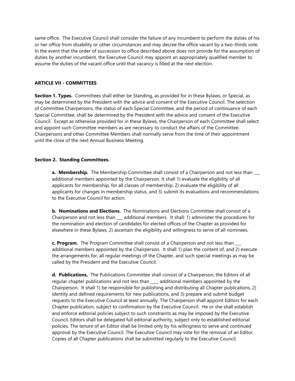same office. The Executive Council shall consider the failure of any incumbent to perform the duties of his or her office from disability or other circumstances and may decree the office vacant by a two-thirds vote. In the event that the order of succession to office described above does not provide for the assumption of duties by another incumbent, the Executive Council may appoint an appropriately qualified member to assume the duties of the vacant office until that vacancy is filled at the next election.

# **ARTICLE VII - COMMITTEES**

**Section 1. Types.** Committees shall either be Standing, as provided for in these Bylaws, or Special, as may be determined by the President with the advice and consent of the Executive Council. The selection of Committee Chairpersons, the status of each Special Committee, and the period of continuance of each Special Committee, shall be determined by the President with the advice and consent of the Executive Council. Except as otherwise provided for in these Bylaws, the Chairperson of each Committee shall select and appoint such Committee members as are necessary to conduct the affairs of the Committee. Chairpersons and other Committee Members shall normally serve from the time of their appointment until the close of the next Annual Business Meeting.

# **Section 2. Standing Committees.**

**a. Membership.** The Membership Committee shall consist of a Chairperson and not less than additional members appointed by the Chairperson. It shall 1) evaluate the eligibility of all applicants for membership, for all classes of membership, 2) evaluate the eligibility of all applicants for changes in membership status, and 3) submit its evaluations and recommendations to the Executive Council for action.

**b. Nominations and Elections.** The Nominations and Elections Committee shall consist of a Chairperson and not less than \_\_\_ additional members. It shall: 1) administer the procedures for the nomination and election of candidates for elected offices of the Chapter as provided for elsewhere in these Bylaws, 2) ascertain the eligibility and willingness to serve of all nominees.

**c. Program.** The Program Committee shall consist of a Chairperson and not less than \_\_\_ additional members appointed by the Chairperson. It shall 1) plan the content of, and 2) execute the arrangements for, all regular meetings of the Chapter, and such special meetings as may be called by the President and the Executive Council.

**d. Publications.** The Publications Committee shall consist of a Chairperson, the Editors of all regular chapter publications and not less than \_\_\_\_ additional members appointed by the Chairperson. It shall 1) be responsible for publishing and distributing all Chapter publications, 2) identity and defined requirements for new publications, and 3) prepare and submit budget requests to the Executive Council at least annually. The Chairperson shall appoint Editors for each Chapter publication, subject to confirmation by the Executive Council. He or she shall establish and enforce editorial policies subject to such constraints as may be imposed by the Executive Council. Editors shall be delegated full editorial authority, subject only to established editorial policies. The tenure of an Editor shall be limited only by his willingness to serve and continued approval by the Executive Council. The Executive Council may vote for the removal of an Editor. Copies of all Chapter publications shall be submitted regularly to the Executive Council.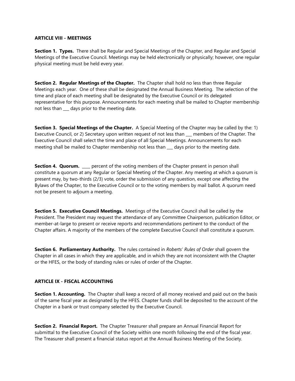# **ARTICLE VIII - MEETINGS**

**Section 1. Types.** There shall be Regular and Special Meetings of the Chapter, and Regular and Special Meetings of the Executive Council. Meetings may be held electronically or physically; however, one regular physical meeting must be held every year.

**Section 2. Regular Meetings of the Chapter.** The Chapter shall hold no less than three Regular Meetings each year. One of these shall be designated the Annual Business Meeting. The selection of the time and place of each meeting shall be designated by the Executive Council or its delegated representative for this purpose. Announcements for each meeting shall be mailed to Chapter membership not less than \_\_\_ days prior to the meeting date.

**Section 3. Special Meetings of the Chapter.** A Special Meeting of the Chapter may be called by the: 1) Executive Council, or 2) Secretary upon written request of not less than \_\_\_ members of the Chapter. The Executive Council shall select the time and place of all Special Meetings. Announcements for each meeting shall be mailed to Chapter membership not less than days prior to the meeting date.

**Section 4. Quorum.** \_\_\_\_ percent of the voting members of the Chapter present in person shall constitute a quorum at any Regular or Special Meeting of the Chapter. Any meeting at which a quorum is present may, by two-thirds (2/3) vote, order the submission of any question, except one affecting the Bylaws of the Chapter, to the Executive Council or to the voting members by mail ballot. A quorum need not be present to adjourn a meeting.

**Section 5. Executive Council Meetings.** Meetings of the Executive Council shall be called by the President. The President may request the attendance of any Committee Chairperson, publication Editor, or member-at-large to present or receive reports and recommendations pertinent to the conduct of the Chapter affairs. A majority of the members of the complete Executive Council shall constitute a quorum.

**Section 6. Parliamentary Authority.** The rules contained in *Roberts' Rules of Order* shall govern the Chapter in all cases in which they are applicable, and in which they are not inconsistent with the Chapter or the HFES, or the body of standing rules or rules of order of the Chapter.

# **ARTICLE IX - FISCAL ACCOUNTING**

**Section 1. Accounting.** The Chapter shall keep a record of all money received and paid out on the basis of the same fiscal year as designated by the HFES. Chapter funds shall be deposited to the account of the Chapter in a bank or trust company selected by the Executive Council.

**Section 2. Financial Report.** The Chapter Treasurer shall prepare an Annual Financial Report for submittal to the Executive Council of the Society within one month following the end of the fiscal year. The Treasurer shall present a financial status report at the Annual Business Meeting of the Society.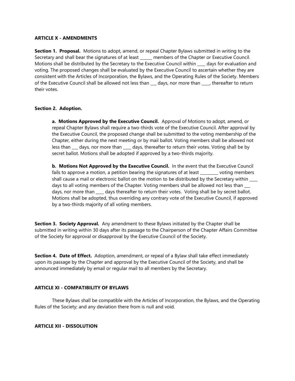# **ARTICLE X - AMENDMENTS**

**Section 1. Proposal.** Motions to adopt, amend, or repeal Chapter Bylaws submitted in writing to the Secretary and shall bear the signatures of at least \_\_\_\_\_\_ members of the Chapter or Executive Council. Motions shall be distributed by the Secretary to the Executive Council within \_\_\_\_ days for evaluation and voting. The proposed changes shall be evaluated by the Executive Council to ascertain whether they are consistent with the Articles of Incorporation, the Bylaws, and the Operating Rules of the Society. Members of the Executive Council shall be allowed not less than \_\_\_ days, nor more than \_\_\_\_, thereafter to return their votes.

# **Section 2. Adoption.**

**a. Motions Approved by the Executive Council.** Approval of Motions to adopt, amend, or repeal Chapter Bylaws shall require a two-thirds vote of the Executive Council. After approval by the Executive Council, the proposed change shall be submitted to the voting membership of the Chapter, either during the next meeting or by mail ballot. Voting members shall be allowed not less than days, nor more than days, thereafter to return their votes. Voting shall be by secret ballot. Motions shall be adopted if approved by a two-thirds majority.

**b. Motions Not Approved by the Executive Council.** In the event that the Executive Council fails to approve a motion, a petition bearing the signatures of at least voting members shall cause a mail or electronic ballot on the motion to be distributed by the Secretary within \_\_\_\_ days to all voting members of the Chapter. Voting members shall be allowed not less than  $\qquad$ days, nor more than days thereafter to return their votes. Voting shall be by secret ballot. Motions shall be adopted, thus overriding any contrary vote of the Executive Council, if approved by a two-thirds majority of all voting members.

**Section 3. Society Approval.** Any amendment to these Bylaws initiated by the Chapter shall be submitted in writing within 30 days after its passage to the Chairperson of the Chapter Affairs Committee of the Society for approval or disapproval by the Executive Council of the Society.

**Section 4. Date of Effect.** Adoption, amendment, or repeal of a Bylaw shall take effect immediately upon its passage by the Chapter and approval by the Executive Council of the Society, and shall be announced immediately by email or regular mail to all members by the Secretary.

# **ARTICLE XI - COMPATIBILITY OF BYLAWS**

These Bylaws shall be compatible with the Articles of Incorporation, the Bylaws, and the Operating Rules of the Society; and any deviation there from is null and void.

# **ARTICLE XII - DISSOLUTION**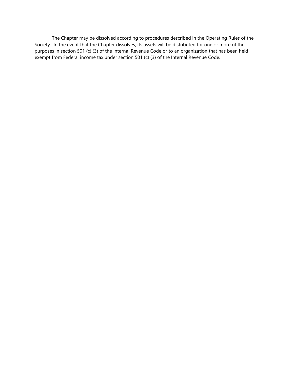The Chapter may be dissolved according to procedures described in the Operating Rules of the Society. In the event that the Chapter dissolves, its assets will be distributed for one or more of the purposes in section 501 (c) (3) of the Internal Revenue Code or to an organization that has been held exempt from Federal income tax under section 501 (c) (3) of the Internal Revenue Code.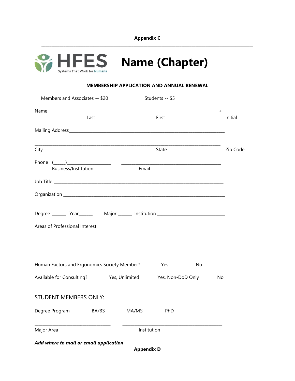**Appendix C \_\_\_\_\_\_\_\_\_\_\_\_\_\_\_\_\_\_\_\_\_\_\_\_\_\_\_\_\_\_\_\_\_\_\_\_\_\_\_\_\_\_\_\_\_\_\_\_\_\_\_\_\_\_\_\_\_\_\_\_\_\_\_\_\_\_\_\_\_\_\_\_\_\_\_\_\_\_\_\_\_\_\_\_\_\_\_\_\_\_\_\_\_\_\_\_\_\_\_\_\_\_\_\_\_\_**



# **MEMBERSHIP APPLICATION AND ANNUAL RENEWAL**

| Members and Associates -- \$20                                                                                                                                                                                                                                                                                                                                                                                                                                                                                                                                                  |                                                                                                                       |             | Students -- \$5   |    |          |  |  |  |
|---------------------------------------------------------------------------------------------------------------------------------------------------------------------------------------------------------------------------------------------------------------------------------------------------------------------------------------------------------------------------------------------------------------------------------------------------------------------------------------------------------------------------------------------------------------------------------|-----------------------------------------------------------------------------------------------------------------------|-------------|-------------------|----|----------|--|--|--|
|                                                                                                                                                                                                                                                                                                                                                                                                                                                                                                                                                                                 |                                                                                                                       |             |                   |    |          |  |  |  |
|                                                                                                                                                                                                                                                                                                                                                                                                                                                                                                                                                                                 | Last                                                                                                                  |             | First             |    | Initial  |  |  |  |
|                                                                                                                                                                                                                                                                                                                                                                                                                                                                                                                                                                                 |                                                                                                                       |             |                   |    |          |  |  |  |
| City                                                                                                                                                                                                                                                                                                                                                                                                                                                                                                                                                                            |                                                                                                                       |             | State             |    | Zip Code |  |  |  |
| Phone $\left(\begin{array}{c}\right.\\ \left.\right.\\ \left.\right.\\ \left.\right.\\ \left. \right.\\ \left. \right.\\ \left. \right.\\ \left. \right.\\ \left. \right.\\ \left. \right.\\ \left. \right.\\ \left. \right.\\ \left. \right.\\ \left. \right.\\ \left. \right.\\ \left. \right.\\ \left. \right.\\ \left. \right.\\ \left. \right.\\ \left. \right.\\ \left. \right.\\ \left. \right.\\ \left. \right.\\ \left. \right.\\ \left. \right.\\ \left. \right.\\ \left. \right.\\ \left. \right.\\ \left. \right.\\ \left. \right.\\ \left$<br>Business/Institution |                                                                                                                       | Email       |                   |    |          |  |  |  |
|                                                                                                                                                                                                                                                                                                                                                                                                                                                                                                                                                                                 |                                                                                                                       |             |                   |    |          |  |  |  |
|                                                                                                                                                                                                                                                                                                                                                                                                                                                                                                                                                                                 |                                                                                                                       |             |                   |    |          |  |  |  |
| Areas of Professional Interest                                                                                                                                                                                                                                                                                                                                                                                                                                                                                                                                                  | <u> 1989 - Johann Barbara, martin da basar da shekarar 1980 - An Dùbhlachd ann an t-Alban ann an t-Alban ann an D</u> |             |                   |    |          |  |  |  |
| <u> 1980 - Johann Barn, mars eta bainar eta bat zen bat zen bat zen bat zen bat zen bat zen bat zen bat zen bat </u><br>Human Factors and Ergonomics Society Member?                                                                                                                                                                                                                                                                                                                                                                                                            |                                                                                                                       |             | <b>Example 18</b> | No |          |  |  |  |
| Available for Consulting? Yes, Unlimited Yes, Non-DoD Only                                                                                                                                                                                                                                                                                                                                                                                                                                                                                                                      |                                                                                                                       |             |                   |    | No       |  |  |  |
| STUDENT MEMBERS ONLY:                                                                                                                                                                                                                                                                                                                                                                                                                                                                                                                                                           |                                                                                                                       |             |                   |    |          |  |  |  |
| Degree Program BA/BS MA/MS PhD                                                                                                                                                                                                                                                                                                                                                                                                                                                                                                                                                  |                                                                                                                       |             |                   |    |          |  |  |  |
| Major Area                                                                                                                                                                                                                                                                                                                                                                                                                                                                                                                                                                      |                                                                                                                       | Institution |                   |    |          |  |  |  |
| Add where to mail or email application<br><b>Appendix D</b>                                                                                                                                                                                                                                                                                                                                                                                                                                                                                                                     |                                                                                                                       |             |                   |    |          |  |  |  |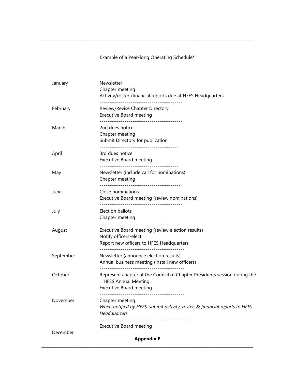Example of a Year-long Operating Schedule\*

**\_\_\_\_\_\_\_\_\_\_\_\_\_\_\_\_\_\_\_\_\_\_\_\_\_\_\_\_\_\_\_\_\_\_\_\_\_\_\_\_\_\_\_\_\_\_\_\_\_\_\_\_\_\_\_\_\_\_\_\_\_\_\_\_\_\_\_\_\_\_\_\_\_\_\_\_\_\_\_\_\_\_\_\_\_\_\_\_\_\_\_\_\_\_\_\_\_\_\_\_\_\_\_\_\_\_**

| January   | Newsletter<br>Chapter meeting<br>Activity/roster /financial reports due at HFES Headquarters                                             |
|-----------|------------------------------------------------------------------------------------------------------------------------------------------|
| February  | Review/Revise Chapter Directory<br><b>Executive Board meeting</b>                                                                        |
| March     | 2nd dues notice<br>Chapter meeting<br>Submit Directory for publication                                                                   |
| April     | 3rd dues notice<br><b>Executive Board meeting</b>                                                                                        |
| May       | Newsletter (include call for nominations)<br>Chapter meeting                                                                             |
| June      | Close nominations<br>Executive Board meeting (review nominations)                                                                        |
| July      | Election ballots<br>Chapter meeting                                                                                                      |
| August    | Executive Board meeting (review election results)<br>Notify officers-elect<br>Report new officers to HFES Headquarters                   |
| September | Newsletter (announce election results)<br>Annual business meeting (install new officers)                                                 |
| October   | Represent chapter at the Council of Chapter Presidents session during the<br><b>HFES Annual Meeting</b><br>Executive Board meeting       |
| November  | Chapter meeting<br>When notified by HFES, submit activity, roster, & financial reports to HFES<br>Headquarters<br>---------------------- |
| December  | <b>Executive Board meeting</b><br><b>Appendix E</b>                                                                                      |

**\_\_\_\_\_\_\_\_\_\_\_\_\_\_\_\_\_\_\_\_\_\_\_\_\_\_\_\_\_\_\_\_\_\_\_\_\_\_\_\_\_\_\_\_\_\_\_\_\_\_\_\_\_\_\_\_\_\_\_\_\_\_\_\_\_\_\_\_\_\_\_\_\_\_\_\_\_\_\_\_\_\_\_\_\_\_\_\_\_\_\_\_\_\_\_\_\_\_\_\_\_\_\_\_\_\_**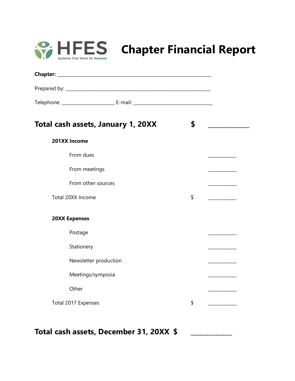

# **CAPTES** Chapter Financial Report

| Total cash assets, January 1, 20XX      | \$                                                                  |
|-----------------------------------------|---------------------------------------------------------------------|
| 201XX Income                            |                                                                     |
| From dues                               |                                                                     |
| From meetings                           |                                                                     |
| From other sources                      | <u> Louis Communication (Communication (Communication)</u>          |
| Total 20XX Income                       | \$                                                                  |
| <b>20XX Expenses</b>                    |                                                                     |
| Postage                                 |                                                                     |
| Stationery                              |                                                                     |
| Newsletter production                   | $\overline{\phantom{a}}$ . The contract of $\overline{\phantom{a}}$ |
| Meetings/symposia                       |                                                                     |
| Other                                   |                                                                     |
| Total 2017 Expenses                     | \$                                                                  |
|                                         |                                                                     |
| Total cash assets, December 31, 20XX \$ |                                                                     |